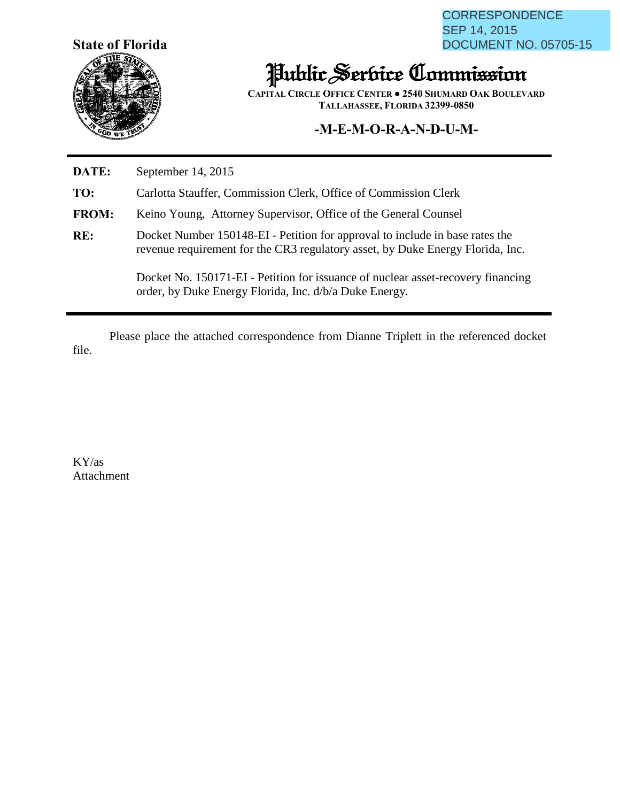**State of Florida**



CORRESPONDENCE SEP 14, 2015 DOCUMENT NO. 05705-15

## Public Service Commission

**CAPITAL CIRCLE OFFICE CENTER ● 2540 SHUMARD OAK BOULEVARD TALLAHASSEE, FLORIDA 32399-0850**

## **-M-E-M-O-R-A-N-D-U-M-**

**DATE:** September 14, 2015

**TO:** Carlotta Stauffer, Commission Clerk, Office of Commission Clerk

**FROM:** Keino Young, Attorney Supervisor, Office of the General Counsel

**RE:** Docket Number 150148-EI - Petition for approval to include in base rates the revenue requirement for the CR3 regulatory asset, by Duke Energy Florida, Inc.

> Docket No. 150171-EI - Petition for issuance of nuclear asset-recovery financing order, by Duke Energy Florida, Inc. d/b/a Duke Energy.

Please place the attached correspondence from Dianne Triplett in the referenced docket file.

KY/as Attachment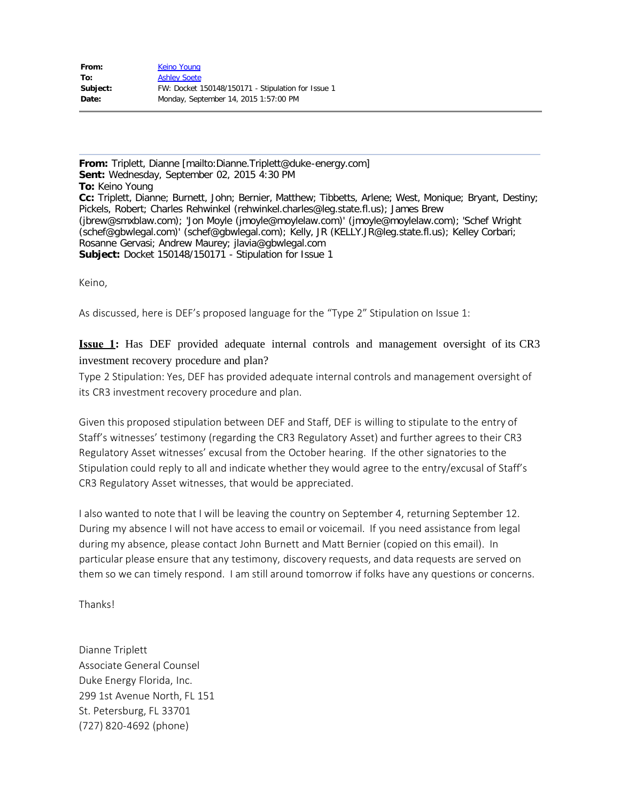| From:    | Keino Young                                        |
|----------|----------------------------------------------------|
| To:      | <b>Ashley Soete</b>                                |
| Subject: | FW: Docket 150148/150171 - Stipulation for Issue 1 |
| Date:    | Monday, September 14, 2015 1:57:00 PM              |

**From:** Triplett, Dianne [mailto:Dianne.Triplett@duke-energy.com] **Sent:** Wednesday, September 02, 2015 4:30 PM **To:** Keino Young **Cc:** Triplett, Dianne; Burnett, John; Bernier, Matthew; Tibbetts, Arlene; West, Monique; Bryant, Destiny; Pickels, Robert; Charles Rehwinkel (rehwinkel.charles@leg.state.fl.us); James Brew (jbrew@smxblaw.com); 'Jon Moyle (jmoyle@moylelaw.com)' (jmoyle@moylelaw.com); 'Schef Wright (schef@gbwlegal.com)' (schef@gbwlegal.com); Kelly, JR (KELLY.JR@leg.state.fl.us); Kelley Corbari; Rosanne Gervasi; Andrew Maurey; jlavia@gbwlegal.com **Subject:** Docket 150148/150171 - Stipulation for Issue 1

Keino,

As discussed, here is DEF's proposed language for the "Type 2" Stipulation on Issue 1:

**Issue 1:** Has DEF provided adequate internal controls and management oversight of its CR3 investment recovery procedure and plan?

Type 2 Stipulation: Yes, DEF has provided adequate internal controls and management oversight of its CR3 investment recovery procedure and plan.

Given this proposed stipulation between DEF and Staff, DEF is willing to stipulate to the entry of Staff's witnesses' testimony (regarding the CR3 Regulatory Asset) and further agrees to their CR3 Regulatory Asset witnesses' excusal from the October hearing. If the other signatories to the Stipulation could reply to all and indicate whether they would agree to the entry/excusal of Staff's CR3 Regulatory Asset witnesses, that would be appreciated.

I also wanted to note that I will be leaving the country on September 4, returning September 12. During my absence I will not have access to email or voicemail. If you need assistance from legal during my absence, please contact John Burnett and Matt Bernier (copied on this email). In particular please ensure that any testimony, discovery requests, and data requests are served on them so we can timely respond. I am still around tomorrow if folks have any questions or concerns.

Thanks!

Dianne Triplett Associate General Counsel Duke Energy Florida, Inc. 299 1st Avenue North, FL 151 St. Petersburg, FL 33701 (727) 820-4692 (phone)